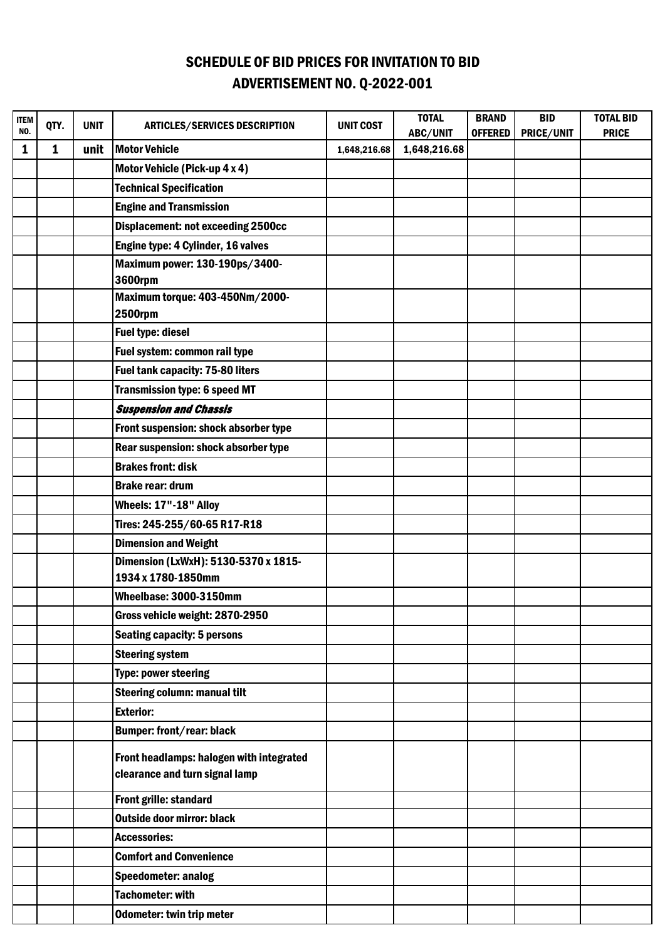## SCHEDULE OF BID PRICES FOR INVITATION TO BID ADVERTISEMENT NO. Q-2022-001

| <b>ITEM</b><br>NO. | QTY.         | <b>UNIT</b> | <b>ARTICLES/SERVICES DESCRIPTION</b>                                       | <b>UNIT COST</b> | <b>TOTAL</b><br>ABC/UNIT | <b>BRAND</b><br><b>OFFERED</b> | <b>BID</b><br>PRICE/UNIT | <b>TOTAL BID</b><br><b>PRICE</b> |
|--------------------|--------------|-------------|----------------------------------------------------------------------------|------------------|--------------------------|--------------------------------|--------------------------|----------------------------------|
| 1                  | $\mathbf{1}$ | unit        | <b>Motor Vehicle</b>                                                       | 1,648,216.68     | 1,648,216.68             |                                |                          |                                  |
|                    |              |             | Motor Vehicle (Pick-up 4 x 4)                                              |                  |                          |                                |                          |                                  |
|                    |              |             | <b>Technical Specification</b>                                             |                  |                          |                                |                          |                                  |
|                    |              |             | <b>Engine and Transmission</b>                                             |                  |                          |                                |                          |                                  |
|                    |              |             | <b>Displacement: not exceeding 2500cc</b>                                  |                  |                          |                                |                          |                                  |
|                    |              |             | Engine type: 4 Cylinder, 16 valves                                         |                  |                          |                                |                          |                                  |
|                    |              |             | Maximum power: 130-190ps/3400-                                             |                  |                          |                                |                          |                                  |
|                    |              |             | <b>3600rpm</b>                                                             |                  |                          |                                |                          |                                  |
|                    |              |             | Maximum torque: 403-450Nm/2000-<br><b>2500rpm</b>                          |                  |                          |                                |                          |                                  |
|                    |              |             | <b>Fuel type: diesel</b>                                                   |                  |                          |                                |                          |                                  |
|                    |              |             | Fuel system: common rail type                                              |                  |                          |                                |                          |                                  |
|                    |              |             | <b>Fuel tank capacity: 75-80 liters</b>                                    |                  |                          |                                |                          |                                  |
|                    |              |             | <b>Transmission type: 6 speed MT</b>                                       |                  |                          |                                |                          |                                  |
|                    |              |             | <b>Suspension and Chassis</b>                                              |                  |                          |                                |                          |                                  |
|                    |              |             | Front suspension: shock absorber type                                      |                  |                          |                                |                          |                                  |
|                    |              |             | Rear suspension: shock absorber type                                       |                  |                          |                                |                          |                                  |
|                    |              |             | <b>Brakes front: disk</b>                                                  |                  |                          |                                |                          |                                  |
|                    |              |             | <b>Brake rear: drum</b>                                                    |                  |                          |                                |                          |                                  |
|                    |              |             | Wheels: 17"-18" Alloy                                                      |                  |                          |                                |                          |                                  |
|                    |              |             | Tires: 245-255/60-65 R17-R18                                               |                  |                          |                                |                          |                                  |
|                    |              |             | <b>Dimension and Weight</b>                                                |                  |                          |                                |                          |                                  |
|                    |              |             | Dimension (LxWxH): 5130-5370 x 1815-                                       |                  |                          |                                |                          |                                  |
|                    |              |             | 1934 x 1780-1850mm                                                         |                  |                          |                                |                          |                                  |
|                    |              |             | Wheelbase: 3000-3150mm                                                     |                  |                          |                                |                          |                                  |
|                    |              |             | Gross vehicle weight: 2870-2950                                            |                  |                          |                                |                          |                                  |
|                    |              |             | <b>Seating capacity: 5 persons</b>                                         |                  |                          |                                |                          |                                  |
|                    |              |             | <b>Steering system</b>                                                     |                  |                          |                                |                          |                                  |
|                    |              |             | <b>Type: power steering</b>                                                |                  |                          |                                |                          |                                  |
|                    |              |             | <b>Steering column: manual tilt</b>                                        |                  |                          |                                |                          |                                  |
|                    |              |             | <b>Exterior:</b>                                                           |                  |                          |                                |                          |                                  |
|                    |              |             | <b>Bumper: front/rear: black</b>                                           |                  |                          |                                |                          |                                  |
|                    |              |             | Front headlamps: halogen with integrated<br>clearance and turn signal lamp |                  |                          |                                |                          |                                  |
|                    |              |             | Front grille: standard                                                     |                  |                          |                                |                          |                                  |
|                    |              |             | <b>Outside door mirror: black</b>                                          |                  |                          |                                |                          |                                  |
|                    |              |             | <b>Accessories:</b>                                                        |                  |                          |                                |                          |                                  |
|                    |              |             | <b>Comfort and Convenience</b>                                             |                  |                          |                                |                          |                                  |
|                    |              |             | <b>Speedometer: analog</b>                                                 |                  |                          |                                |                          |                                  |
|                    |              |             | <b>Tachometer: with</b>                                                    |                  |                          |                                |                          |                                  |
|                    |              |             | Odometer: twin trip meter                                                  |                  |                          |                                |                          |                                  |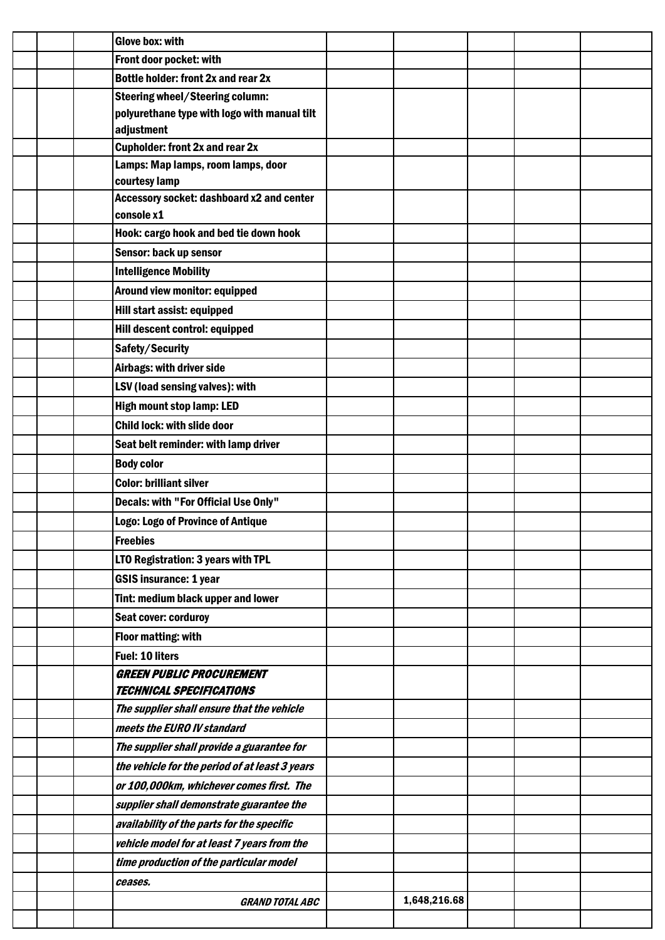| <b>Glove box: with</b>                                                       |              |  |  |
|------------------------------------------------------------------------------|--------------|--|--|
| Front door pocket: with                                                      |              |  |  |
| Bottle holder: front 2x and rear 2x                                          |              |  |  |
| <b>Steering wheel/Steering column:</b>                                       |              |  |  |
| polyurethane type with logo with manual tilt                                 |              |  |  |
| adjustment                                                                   |              |  |  |
| <b>Cupholder: front 2x and rear 2x</b><br>Lamps: Map lamps, room lamps, door |              |  |  |
| courtesy lamp                                                                |              |  |  |
| Accessory socket: dashboard x2 and center                                    |              |  |  |
| console x1                                                                   |              |  |  |
| Hook: cargo hook and bed tie down hook                                       |              |  |  |
| Sensor: back up sensor                                                       |              |  |  |
| <b>Intelligence Mobility</b>                                                 |              |  |  |
| Around view monitor: equipped                                                |              |  |  |
| Hill start assist: equipped                                                  |              |  |  |
| Hill descent control: equipped                                               |              |  |  |
| Safety/Security                                                              |              |  |  |
| Airbags: with driver side                                                    |              |  |  |
| LSV (load sensing valves): with                                              |              |  |  |
| <b>High mount stop lamp: LED</b>                                             |              |  |  |
| <b>Child lock: with slide door</b>                                           |              |  |  |
| Seat belt reminder: with lamp driver                                         |              |  |  |
| <b>Body color</b>                                                            |              |  |  |
| <b>Color: brilliant silver</b>                                               |              |  |  |
| Decals: with "For Official Use Only"                                         |              |  |  |
| Logo: Logo of Province of Antique                                            |              |  |  |
| <b>Freebies</b>                                                              |              |  |  |
| LTO Registration: 3 years with TPL                                           |              |  |  |
| <b>GSIS insurance: 1 year</b>                                                |              |  |  |
| Tint: medium black upper and lower                                           |              |  |  |
| <b>Seat cover: corduroy</b>                                                  |              |  |  |
|                                                                              |              |  |  |
| <b>Floor matting: with</b><br><b>Fuel: 10 liters</b>                         |              |  |  |
| <b>GREEN PUBLIC PROCUREMENT</b>                                              |              |  |  |
| <b>TECHNICAL SPECIFICATIONS</b>                                              |              |  |  |
| The supplier shall ensure that the vehicle                                   |              |  |  |
| meets the EURO IV standard                                                   |              |  |  |
| The supplier shall provide a guarantee for                                   |              |  |  |
| the vehicle for the period of at least 3 years                               |              |  |  |
| or 100,000km, whichever comes first. The                                     |              |  |  |
| supplier shall demonstrate guarantee the                                     |              |  |  |
| availability of the parts for the specific                                   |              |  |  |
| vehicle model for at least 7 years from the                                  |              |  |  |
| time production of the particular model                                      |              |  |  |
| ceases.                                                                      |              |  |  |
| <b>GRAND TOTAL ABC</b>                                                       | 1,648,216.68 |  |  |
|                                                                              |              |  |  |
|                                                                              |              |  |  |